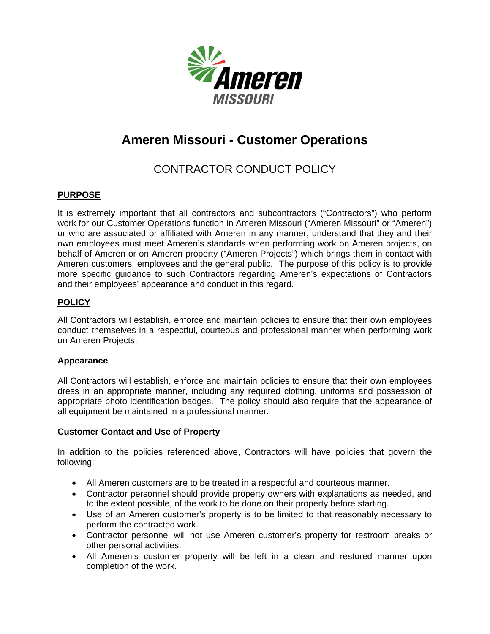

# **Ameren Missouri - Customer Operations**

## CONTRACTOR CONDUCT POLICY

### **PURPOSE**

It is extremely important that all contractors and subcontractors ("Contractors") who perform work for our Customer Operations function in Ameren Missouri ("Ameren Missouri" or "Ameren") or who are associated or affiliated with Ameren in any manner, understand that they and their own employees must meet Ameren's standards when performing work on Ameren projects, on behalf of Ameren or on Ameren property ("Ameren Projects") which brings them in contact with Ameren customers, employees and the general public. The purpose of this policy is to provide more specific guidance to such Contractors regarding Ameren's expectations of Contractors and their employees' appearance and conduct in this regard.

### **POLICY**

All Contractors will establish, enforce and maintain policies to ensure that their own employees conduct themselves in a respectful, courteous and professional manner when performing work on Ameren Projects.

#### **Appearance**

All Contractors will establish, enforce and maintain policies to ensure that their own employees dress in an appropriate manner, including any required clothing, uniforms and possession of appropriate photo identification badges. The policy should also require that the appearance of all equipment be maintained in a professional manner.

#### **Customer Contact and Use of Property**

In addition to the policies referenced above, Contractors will have policies that govern the following:

- All Ameren customers are to be treated in a respectful and courteous manner.
- Contractor personnel should provide property owners with explanations as needed, and to the extent possible, of the work to be done on their property before starting.
- Use of an Ameren customer's property is to be limited to that reasonably necessary to perform the contracted work.
- Contractor personnel will not use Ameren customer's property for restroom breaks or other personal activities.
- All Ameren's customer property will be left in a clean and restored manner upon completion of the work.